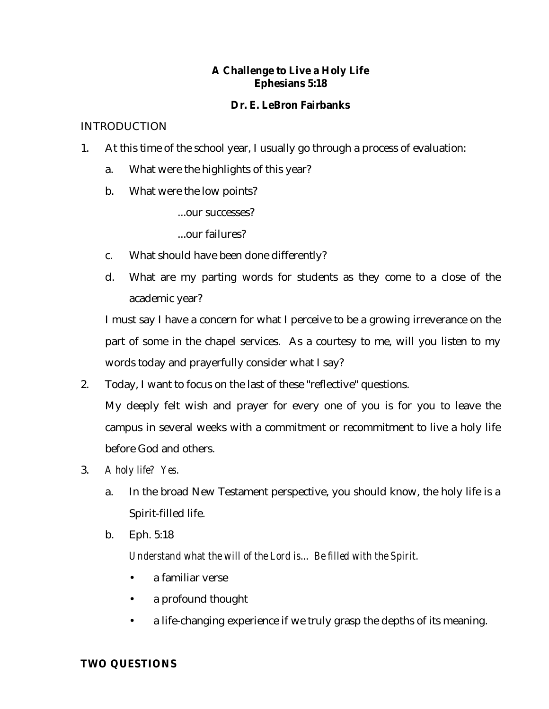# **A Challenge to Live a Holy Life Ephesians 5:18**

## **Dr. E. LeBron Fairbanks**

### INTRODUCTION

- 1. At this time of the school year, I usually go through a process of evaluation:
	- a. What were the highlights of this year?
	- b. What were the low points?
		- ...our successes?
		- ...our failures?
	- c. What should have been done differently?
	- d. What are my parting words for students as they come to a close of the academic year?

I must say I have a concern for what I perceive to be a growing irreverance on the part of some in the chapel services. As a courtesy to me, will you listen to my words today and prayerfully consider what I say?

- 2. Today, I want to focus on the last of these "reflective" questions. My deeply felt wish and prayer for every one of you is for you to leave the campus in several weeks with a commitment or recommitment to live a holy life before God and others.
- 3. *A holy life? Yes.*
	- a. In the broad New Testament perspective, you should know, the holy life is a Spirit-filled life.
	- b. Eph. 5:18

*Understand what the will of the Lord is... Be filled with the Spirit.*

- a familiar verse
- a profound thought
- a life-changing experience if we truly grasp the depths of its meaning.

#### **TWO QUESTIONS**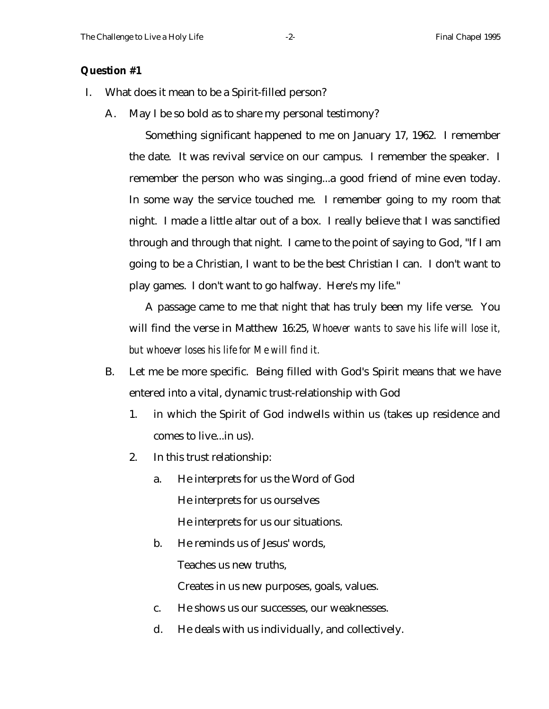#### **Question #1**

- I. What does it mean to be a Spirit-filled person?
	- A. May I be so bold as to share my personal testimony?

Something significant happened to me on January 17, 1962. I remember the date. It was revival service on our campus. I remember the speaker. I remember the person who was singing...a good friend of mine even today. In some way the service touched me. I remember going to my room that night. I made a little altar out of a box. I really believe that I was sanctified through and through that night. I came to the point of saying to God, "If I am going to be a Christian, I want to be the best Christian I can. I don't want to play games. I don't want to go halfway. Here's my life."

A passage came to me that night that has truly been my life verse. You will find the verse in Matthew 16:25, *Whoever wants to save his life will lose it, but whoever loses his life for Me will find it.*

- B. Let me be more specific. Being filled with God's Spirit means that we have entered into a vital, dynamic trust-relationship with God
	- 1. in which the Spirit of God indwells within us (takes up residence and comes to live...in us).
	- 2. In this trust relationship:
		- a. He interprets for us the Word of God He interprets for us ourselves He interprets for us our situations.
		- b. He reminds us of Jesus' words,

Teaches us new truths,

Creates in us new purposes, goals, values.

- c. He shows us our successes, our weaknesses.
- d. He deals with us individually, and collectively.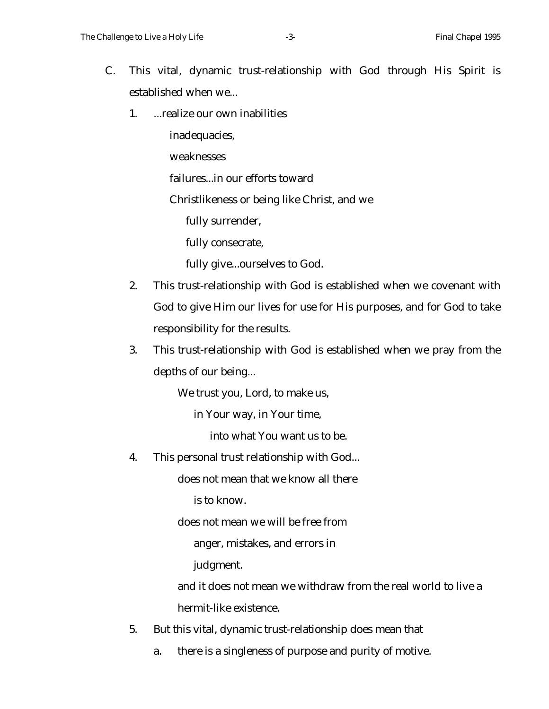- C. This vital, dynamic trust-relationship with God through His Spirit is established when we...
	- 1. ...realize our own inabilities

inadequacies,

weaknesses

failures...in our efforts toward

Christlikeness or being like Christ, and we

fully surrender,

fully consecrate,

fully give...ourselves to God.

- 2. This trust-relationship with God is established when we covenant with God to give Him our lives for use for His purposes, and for God to take responsibility for the results.
- 3. This trust-relationship with God is established when we pray from the depths of our being...

We trust you, Lord, to make us,

in Your way, in Your time,

into what You want us to be.

4. This personal trust relationship with God...

does not mean that we know all there

is to know.

does not mean we will be free from

anger, mistakes, and errors in

judgment.

and it does not mean we withdraw from the real world to live a hermit-like existence.

- 5. But this vital, dynamic trust-relationship does mean that
	- a. there is a singleness of purpose and purity of motive.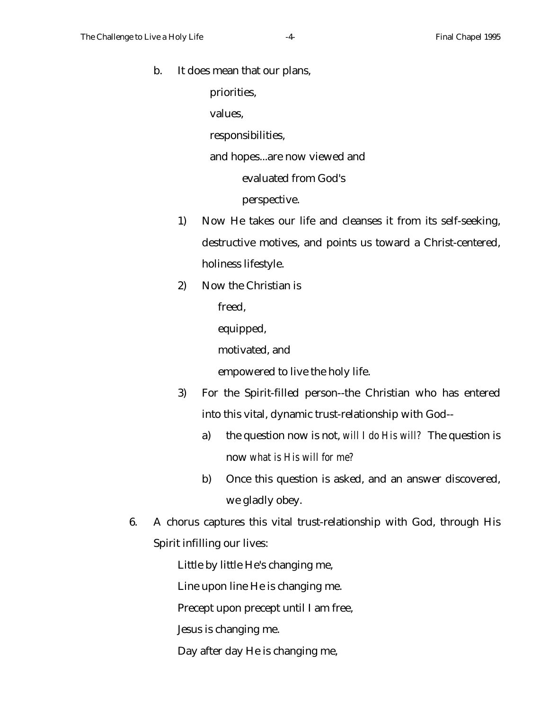b. It does mean that our plans,

priorities,

values,

responsibilities,

and hopes...are now viewed and

evaluated from God's

perspective.

- 1) Now He takes our life and cleanses it from its self-seeking, destructive motives, and points us toward a Christ-centered, holiness lifestyle.
- 2) Now the Christian is

freed,

equipped,

motivated, and

empowered to live the holy life.

- 3) For the Spirit-filled person--the Christian who has entered into this vital, dynamic trust-relationship with God-
	- a) the question now is not, *will I do His will?* The question is now *what is His will for me?*
	- b) Once this question is asked, and an answer discovered, we gladly obey.
- 6. A chorus captures this vital trust-relationship with God, through His Spirit infilling our lives:

Little by little He's changing me,

Line upon line He is changing me.

Precept upon precept until I am free,

Jesus is changing me.

Day after day He is changing me,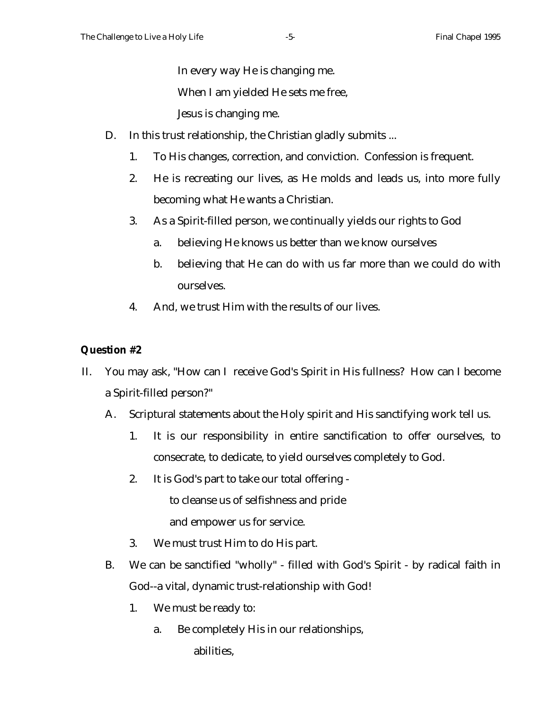In every way He is changing me.

When I am yielded He sets me free,

Jesus is changing me.

- D. In this trust relationship, the Christian gladly submits ...
	- 1. To His changes, correction, and conviction. Confession is frequent.
	- 2. He is recreating our lives, as He molds and leads us, into more fully becoming what He wants a Christian.
	- 3. As a Spirit-filled person, we continually yields our rights to God
		- a. believing He knows us better than we know ourselves
		- b. believing that He can do with us far more than we could do with ourselves.
	- 4. And, we trust Him with the results of our lives.

# **Question #2**

- II. You may ask, "How can I receive God's Spirit in His fullness? How can I become a Spirit-filled person?"
	- A. Scriptural statements about the Holy spirit and His sanctifying work tell us.
		- 1. It is our responsibility in entire sanctification to offer ourselves, to consecrate, to dedicate, to yield ourselves completely to God.
		- 2. It is God's part to take our total offering -

to cleanse us of selfishness and pride

and empower us for service.

- 3. We must trust Him to do His part.
- B. We can be sanctified "wholly" filled with God's Spirit by radical faith in God--a vital, dynamic trust-relationship with God!
	- 1. We must be ready to:
		- a. Be completely His in our relationships, abilities,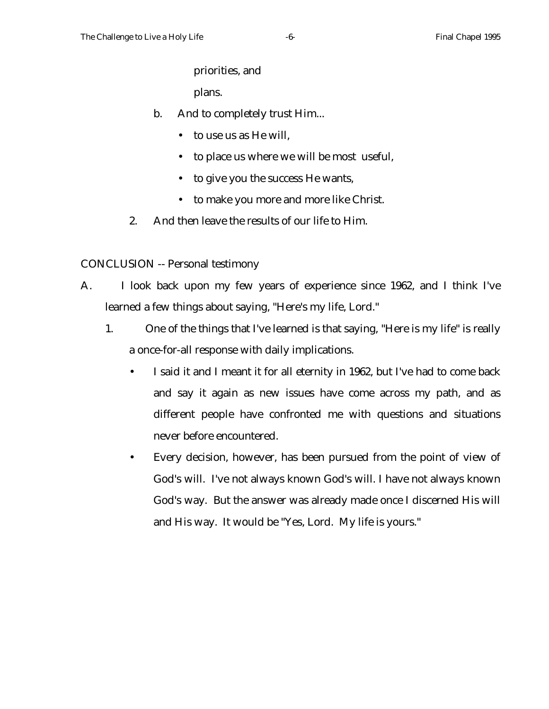priorities, and

plans.

- b. And to completely trust Him...
	- to use us as He will.
	- to place us where we will be most useful,
	- to give you the success He wants,
	- to make you more and more like Christ.
- 2. And then leave the results of our life to Him.

CONCLUSION -- Personal testimony

- A. I look back upon my few years of experience since 1962, and I think I've learned a few things about saying, "Here's my life, Lord."
	- 1. One of the things that I've learned is that saying, "Here is my life" is really a once-for-all response with daily implications.
		- I said it and I meant it for all eternity in 1962, but I've had to come back and say it again as new issues have come across my path, and as different people have confronted me with questions and situations never before encountered.
		- Every decision, however, has been pursued from the point of view of God's will. I've not always known God's will. I have not always known God's way. But the answer was already made once I discerned His will and His way. It would be "Yes, Lord. My life is yours."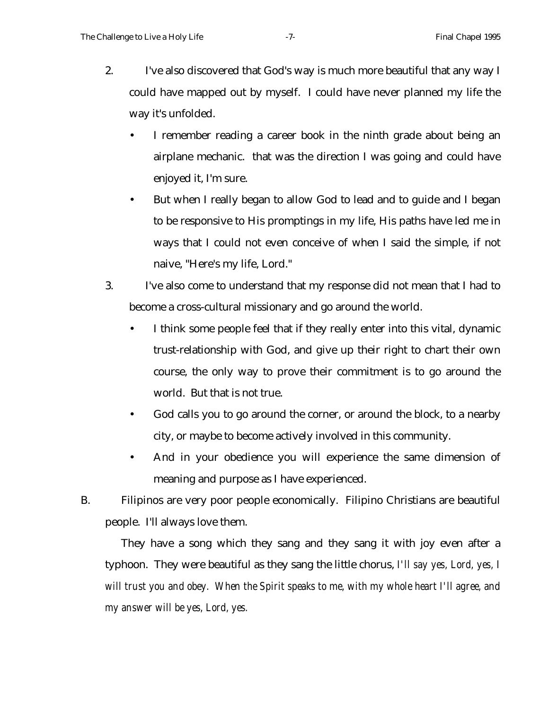- 2. I've also discovered that God's way is much more beautiful that any way I could have mapped out by myself. I could have never planned my life the way it's unfolded.
	- I remember reading a career book in the ninth grade about being an airplane mechanic. that was the direction I was going and could have enjoyed it, I'm sure.
	- But when I really began to allow God to lead and to guide and I began to be responsive to His promptings in my life, His paths have led me in ways that I could not even conceive of when I said the simple, if not naive, "Here's my life, Lord."
- 3. I've also come to understand that my response did not mean that I had to become a cross-cultural missionary and go around the world.
	- I think some people feel that if they really enter into this vital, dynamic trust-relationship with God, and give up their right to chart their own course, the only way to prove their commitment is to go around the world. But that is not true.
	- God calls you to go around the corner, or around the block, to a nearby city, or maybe to become actively involved in this community.
	- And in your obedience you will experience the same dimension of meaning and purpose as I have experienced.

B. Filipinos are very poor people economically. Filipino Christians are beautiful people. I'll always love them.

They have a song which they sang and they sang it with joy even after a typhoon. They were beautiful as they sang the little chorus, *I'll say yes, Lord, yes, I will trust you and obey. When the Spirit speaks to me, with my whole heart I'll agree, and my answer will be yes, Lord, yes.*